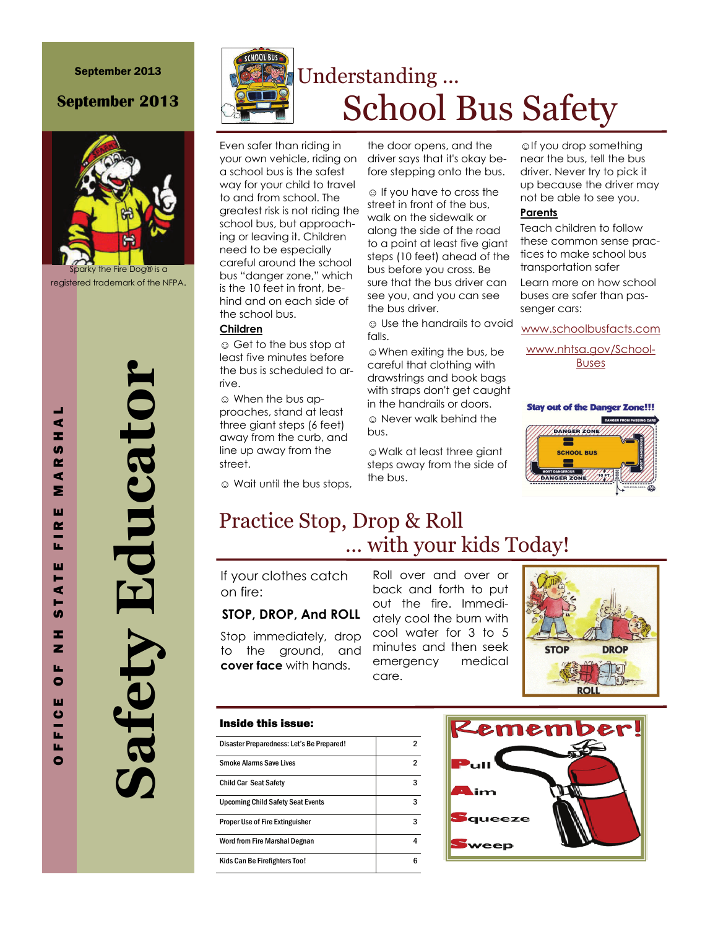## **September 2013**



registered trademark of the NFPA.

**Safety Educator**  Educator ifety

# **CHOOL RUS** Understanding ... School Bus Safety

Even safer than riding in your own vehicle, riding on a school bus is the safest way for your child to travel to and from school. The greatest risk is not riding the school bus, but approaching or leaving it. Children need to be especially careful around the school bus "danger zone," which is the 10 feet in front, behind and on each side of the school bus.

#### **Children**

☺ Get to the bus stop at least five minutes before the bus is scheduled to arrive.

☺ When the bus approaches, stand at least three giant steps (6 feet) away from the curb, and line up away from the street.

☺ Wait until the bus stops,

the door opens, and the driver says that it's okay before stepping onto the bus.

☺ If you have to cross the street in front of the bus, walk on the sidewalk or along the side of the road to a point at least five giant steps (10 feet) ahead of the bus before you cross. Be sure that the bus driver can see you, and you can see the bus driver.

☺ Use the handrails to avoid falls.

☺When exiting the bus, be careful that clothing with drawstrings and book bags with straps don't get caught in the handrails or doors. ☺ Never walk behind the bus.

☺Walk at least three giant steps away from the side of the bus.

☺If you drop something near the bus, tell the bus driver. Never try to pick it up because the driver may not be able to see you.

### **Parents**

Teach children to follow these common sense practices to make school bus transportation safer Learn more on how school buses are safer than passenger cars:

[www.schoolbusfacts.com](http://www.schoolbusfacts.com)

[www.nhtsa.gov/School-](http://www.nhtsa.gov/School-Buses)[Buses](http://www.nhtsa.gov/School-Buses)

#### **Stay out of the Danger Zone!!!**



## Practice Stop, Drop & Roll … with your kids Today!

If your clothes catch on fire:

## **STOP, DROP, And ROLL**

Stop immediately, drop to the ground, and **cover face** with hands.

Roll over and over or back and forth to put out the fire. Immediately cool the burn with cool water for 3 to 5 minutes and then seek emergency medical care.



#### Inside this issue:

| Smoke Alarms Save Lives<br>2<br><b>Child Car Seat Safety</b><br>3<br><b>Upcoming Child Safety Seat Events</b><br>3<br><b>Proper Use of Fire Extinguisher</b><br>3<br><b>Word from Fire Marshal Degnan</b><br>Kids Can Be Firefighters Too!<br>6 | Disaster Preparedness: Let's Be Prepared! |  |
|-------------------------------------------------------------------------------------------------------------------------------------------------------------------------------------------------------------------------------------------------|-------------------------------------------|--|
|                                                                                                                                                                                                                                                 |                                           |  |
|                                                                                                                                                                                                                                                 |                                           |  |
|                                                                                                                                                                                                                                                 |                                           |  |
|                                                                                                                                                                                                                                                 |                                           |  |
|                                                                                                                                                                                                                                                 |                                           |  |
|                                                                                                                                                                                                                                                 |                                           |  |



## OFFICE OF NH STATE FIRE MARSHAL  $\blacktriangleleft$ z **S** œ  $\blacktriangleleft$ Σ ш œ u, ш Н  $\blacktriangleleft$ ь **SD** Ŧ. z u.  $\bullet$ ш FIC u.  $\bullet$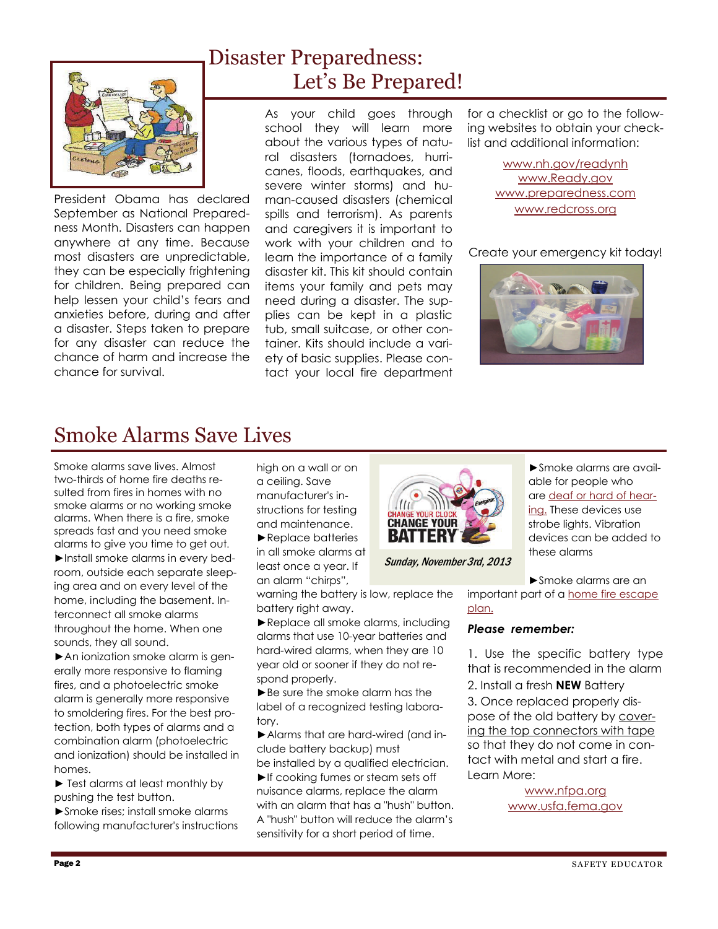

President Obama has declared September as National Preparedness Month. Disasters can happen anywhere at any time. Because most disasters are unpredictable, they can be especially frightening for children. Being prepared can help lessen your child's fears and anxieties before, during and after a disaster. Steps taken to prepare for any disaster can reduce the chance of harm and increase the chance for survival.

# Disaster Preparedness: Let's Be Prepared!

As your child goes through school they will learn more about the various types of natural disasters (tornadoes, hurricanes, floods, earthquakes, and severe winter storms) and human-caused disasters (chemical spills and terrorism). As parents and caregivers it is important to work with your children and to learn the importance of a family disaster kit. This kit should contain items your family and pets may need during a disaster. The supplies can be kept in a plastic tub, small suitcase, or other container. Kits should include a variety of basic supplies. Please contact your local fire department

for a checklist or go to the following websites to obtain your checklist and additional information:

> [www.nh.gov/readynh](http://www.nh.gov/readynh) [www.Ready.gov](http://www.ready.gov/) [www.preparedness.com](http://www.preparedness.com/) [www.redcross.org](http://www.redcross.org/)

Create your emergency kit today!



# Smoke Alarms Save Lives

Smoke alarms save lives. Almost two-thirds of home fire deaths resulted from fires in homes with no smoke alarms or no working smoke alarms. When there is a fire, smoke spreads fast and you need smoke alarms to give you time to get out.

►Install smoke alarms in every bedroom, outside each separate sleeping area and on every level of the home, including the basement. Interconnect all smoke alarms throughout the home. When one sounds, they all sound.

►An ionization smoke alarm is generally more responsive to flaming fires, and a photoelectric smoke alarm is generally more responsive to smoldering fires. For the best protection, both types of alarms and a combination alarm (photoelectric and ionization) should be installed in homes.

► Test alarms at least monthly by pushing the test button.

►Smoke rises; install smoke alarms following manufacturer's instructions high on a wall or on a ceiling. Save manufacturer's instructions for testing and maintenance.

►Replace batteries in all smoke alarms at least once a year. If an alarm "chirps",

warning the battery is low, replace the battery right away.

► Replace all smoke alarms, including alarms that use 10-year batteries and hard-wired alarms, when they are 10 year old or sooner if they do not respond properly.

►Be sure the smoke alarm has the label of a recognized testing laboratory.

►Alarms that are hard-wired (and include battery backup) must be installed by a qualified electrician.

►If cooking fumes or steam sets off nuisance alarms, replace the alarm with an alarm that has a "hush" button. A "hush" button will reduce the alarm's sensitivity for a short period of time.



Sunday, November 3rd, 2013

►Smoke alarms are available for people who are [deaf or hard of hear](http://www.nfpa.org/safety-information/for-consumers/populations/people-with-disabilities/educational-materials/people-who-are-deaf-or-hard-of-hearing)[ing.](http://www.nfpa.org/safety-information/for-consumers/populations/people-with-disabilities/educational-materials/people-who-are-deaf-or-hard-of-hearing) These devices use strobe lights. Vibration devices can be added to these alarms

►Smoke alarms are an

important part of a [home fire escape](http://www.nfpa.org/safety-information/for-consumers/escape-planning) [plan](http://www.nfpa.org/safety-information/for-consumers/escape-planning).

### *Please remember:*

1. Use the specific battery type that is recommended in the alarm 2. Install a fresh **NEW** Battery

3. Once replaced properly dispose of the old battery by covering the top connectors with tape so that they do not come in contact with metal and start a fire. Learn More:

> [www.nfpa.org](http://www.nfpa.org/safety-information/for-consumers/fire-and-safety-equipment/smoke-alarms/smoke-alarm-safety-tips) [www.usfa.fema.gov](http://www.usfa.fema.gov/campaigns/smokealarms/alarms/index.shtm)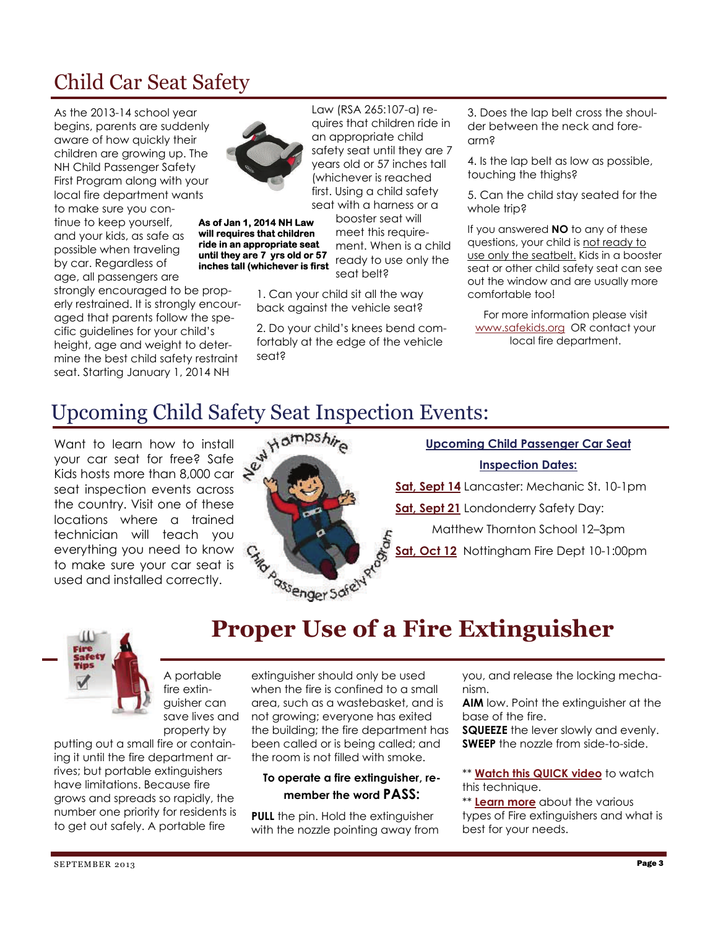# Child Car Seat Safety

As the 2013-14 school year begins, parents are suddenly aware of how quickly their children are growing up. The NH Child Passenger Safety First Program along with your local fire department wants to make sure you continue to keep yourself, and your kids, as safe as possible when traveling by car. Regardless of age, all passengers are

strongly encouraged to be properly restrained. It is strongly encouraged that parents follow the specific guidelines for your child's height, age and weight to determine the best child safety restraint seat. Starting January 1, 2014 NH



**As of Jan 1, 2014 NH Law will requires that children ride in an appropriate seat until they are 7 yrs old or 57 inches tall (whichever is first** 

Law (RSA 265:107-a) requires that children ride in an appropriate child safety seat until they are 7 years old or 57 inches tall (whichever is reached first. Using a child safety seat with a harness or a booster seat will

meet this requirement. When is a child ready to use only the seat belt?

1. Can your child sit all the way back against the vehicle seat?

2. Do your child's knees bend comfortably at the edge of the vehicle seat?

3. Does the lap belt cross the shoulder between the neck and forearm?

4. Is the lap belt as low as possible, touching the thighs?

5. Can the child stay seated for the whole trip?

If you answered **NO** to any of these questions, your child is not ready to use only the seatbelt. Kids in a booster seat or other child safety seat can see out the window and are usually more comfortable too!

For more information please visit [www.safekids.org](http://www.safe-kids.org/) OR contact your local fire department.

# Upcoming Child Safety Seat Inspection Events:

Want to learn how to install your car seat for free? Safe Kids hosts more than 8,000 car seat inspection events across the country. Visit one of these locations where a trained technician will teach you everything you need to know to make sure your car seat is used and installed correctly.



# **Upcoming Child Passenger Car Seat**

### **Inspection Dates:**

**Sat, Sept 14** Lancaster: Mechanic St. 10-1pm **Sat, Sept 21** Londonderry Safety Day: Matthew Thornton School 12–3pm **Sat, Oct 12** Nottingham Fire Dept 10-1:00pm



when the fire is confined to a small area, such as a wastebasket, and is not growing; everyone has exited the building; the fire department has been called or is being called; and the room is not filled with smoke. putting out a small fire or containing it until the fire department arrives; but portable extinguishers

### **To operate a fire extinguisher, remember the word PASS:**

extinguisher should only be used

**Proper Use of a Fire Extinguisher** 

**PULL** the pin. Hold the extinguisher with the nozzle pointing away from you, and release the locking mechanism.

**AIM** low. Point the extinguisher at the base of the fire.

**SQUEEZE** the lever slowly and evenly. **SWEEP** the nozzle from side-to-side.

\*\* **[Watch this QUICK video](http://www.youtube.com/watch?v=BLjoWjCrDqg)** to watch this technique.

\*\* **[Learn more](http://www.usfa.fema.gov/citizens/home_fire_prev/extinguishers.shtm)** about the various types of Fire extinguishers and what is best for your needs.

have limitations. Because fire grows and spreads so rapidly, the number one priority for residents is to get out safely. A portable fire